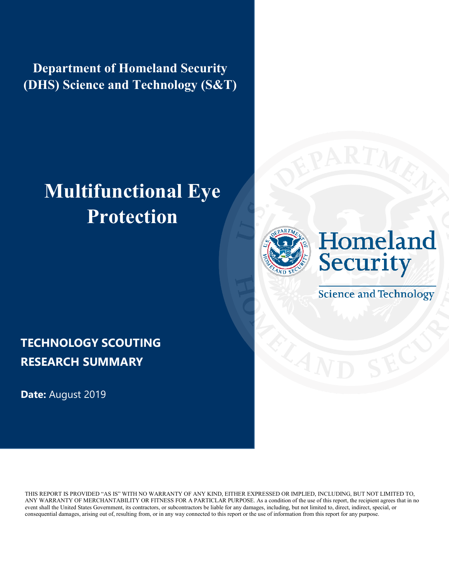**Department of Homeland Security (DHS) Science and Technology (S&T)**

# **Multifunctional Eye Protection**





**Science and Technology** 

### **TECHNOLOGY SCOUTING RESEARCH SUMMARY**

**Date:** August 2019

THIS REPORT IS PROVIDED "AS IS" WITH NO WARRANTY OF ANY KIND, EITHER EXPRESSED OR IMPLIED, INCLUDING, BUT NOT LIMITED TO, ANY WARRANTY OF MERCHANTABILITY OR FITNESS FOR A PARTICLAR PURPOSE. As a condition of the use of this report, the recipient agrees that in no event shall the United States Government, its contractors, or subcontractors be liable for any damages, including, but not limited to, direct, indirect, special, or consequential damages, arising out of, resulting from, or in any way connected to this report or the use of information from this report for any purpose.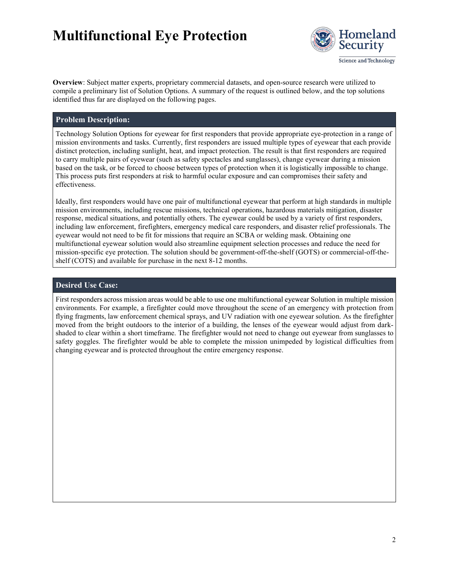

Science and Technology

**Overview**: Subject matter experts, proprietary commercial datasets, and open-source research were utilized to compile a preliminary list of Solution Options. A summary of the request is outlined below, and the top solutions identified thus far are displayed on the following pages.

#### **Problem Description:**

Technology Solution Options for eyewear for first responders that provide appropriate eye-protection in a range of mission environments and tasks. Currently, first responders are issued multiple types of eyewear that each provide distinct protection, including sunlight, heat, and impact protection. The result is that first responders are required to carry multiple pairs of eyewear (such as safety spectacles and sunglasses), change eyewear during a mission based on the task, or be forced to choose between types of protection when it is logistically impossible to change. This process puts first responders at risk to harmful ocular exposure and can compromises their safety and effectiveness.

Ideally, first responders would have one pair of multifunctional eyewear that perform at high standards in multiple mission environments, including rescue missions, technical operations, hazardous materials mitigation, disaster response, medical situations, and potentially others. The eyewear could be used by a variety of first responders, including law enforcement, firefighters, emergency medical care responders, and disaster relief professionals. The eyewear would not need to be fit for missions that require an SCBA or welding mask. Obtaining one multifunctional eyewear solution would also streamline equipment selection processes and reduce the need for mission-specific eye protection. The solution should be government-off-the-shelf (GOTS) or commercial-off-theshelf (COTS) and available for purchase in the next 8-12 months.

#### **Desired Use Case:**

First responders across mission areas would be able to use one multifunctional eyewear Solution in multiple mission environments. For example, a firefighter could move throughout the scene of an emergency with protection from flying fragments, law enforcement chemical sprays, and UV radiation with one eyewear solution. As the firefighter moved from the bright outdoors to the interior of a building, the lenses of the eyewear would adjust from darkshaded to clear within a short timeframe. The firefighter would not need to change out eyewear from sunglasses to safety goggles. The firefighter would be able to complete the mission unimpeded by logistical difficulties from changing eyewear and is protected throughout the entire emergency response.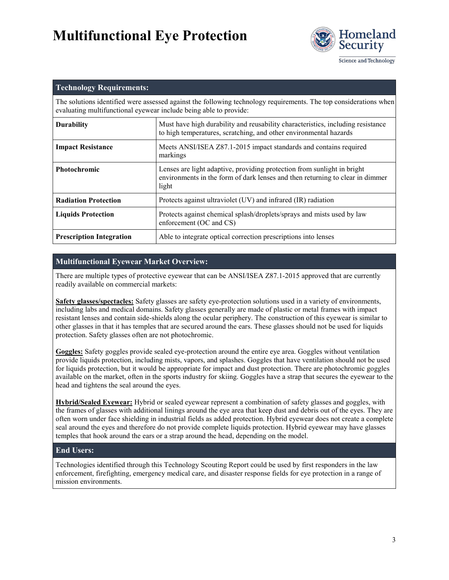

Science and Technology

| <b>Technology Requirements:</b>                                                                                                                                                        |                                                                                                                                                                   |  |  |  |
|----------------------------------------------------------------------------------------------------------------------------------------------------------------------------------------|-------------------------------------------------------------------------------------------------------------------------------------------------------------------|--|--|--|
| The solutions identified were assessed against the following technology requirements. The top considerations when<br>evaluating multifunctional eyewear include being able to provide: |                                                                                                                                                                   |  |  |  |
| <b>Durability</b>                                                                                                                                                                      | Must have high durability and reusability characteristics, including resistance<br>to high temperatures, scratching, and other environmental hazards              |  |  |  |
| <b>Impact Resistance</b>                                                                                                                                                               | Meets ANSI/ISEA Z87.1-2015 impact standards and contains required<br>markings                                                                                     |  |  |  |
| <b>Photochromic</b>                                                                                                                                                                    | Lenses are light adaptive, providing protection from sunlight in bright<br>environments in the form of dark lenses and then returning to clear in dimmer<br>light |  |  |  |
| <b>Radiation Protection</b>                                                                                                                                                            | Protects against ultraviolet (UV) and infrared (IR) radiation                                                                                                     |  |  |  |
| <b>Liquids Protection</b>                                                                                                                                                              | Protects against chemical splash/droplets/sprays and mists used by law<br>enforcement (OC and CS)                                                                 |  |  |  |
| <b>Prescription Integration</b>                                                                                                                                                        | Able to integrate optical correction prescriptions into lenses                                                                                                    |  |  |  |

### **Multifunctional Eyewear Market Overview:**

There are multiple types of protective eyewear that can be ANSI/ISEA Z87.1-2015 approved that are currently readily available on commercial markets:

**Safety glasses/spectacles:** Safety glasses are safety eye-protection solutions used in a variety of environments, including labs and medical domains. Safety glasses generally are made of plastic or metal frames with impact resistant lenses and contain side-shields along the ocular periphery. The construction of this eyewear is similar to other glasses in that it has temples that are secured around the ears. These glasses should not be used for liquids protection. Safety glasses often are not photochromic.

**Goggles:** Safety goggles provide sealed eye-protection around the entire eye area. Goggles without ventilation provide liquids protection, including mists, vapors, and splashes. Goggles that have ventilation should not be used for liquids protection, but it would be appropriate for impact and dust protection. There are photochromic goggles available on the market, often in the sports industry for skiing. Goggles have a strap that secures the eyewear to the head and tightens the seal around the eyes.

**Hybrid/Sealed Eyewear:** Hybrid or sealed eyewear represent a combination of safety glasses and goggles, with the frames of glasses with additional linings around the eye area that keep dust and debris out of the eyes. They are often worn under face shielding in industrial fields as added protection. Hybrid eyewear does not create a complete seal around the eyes and therefore do not provide complete liquids protection. Hybrid eyewear may have glasses temples that hook around the ears or a strap around the head, depending on the model.

#### **End Users:**

Technologies identified through this Technology Scouting Report could be used by first responders in the law enforcement, firefighting, emergency medical care, and disaster response fields for eye protection in a range of mission environments.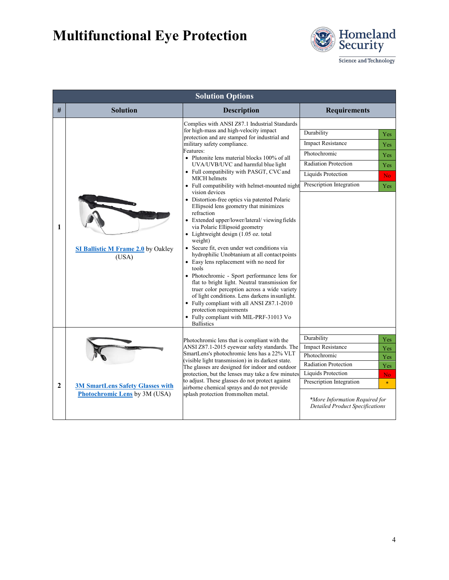

Science and Technology

| <b>Solution Options</b> |                                                                          |                                                                                                                                                                                                                                                                                                                                                                                                                                                                                                                                                                                                                                                                                                                                                                                                                                                                                                                                                                                                                                                                                                                                                                          |                                                                                                                                                                                                                                                                         |  |  |  |  |
|-------------------------|--------------------------------------------------------------------------|--------------------------------------------------------------------------------------------------------------------------------------------------------------------------------------------------------------------------------------------------------------------------------------------------------------------------------------------------------------------------------------------------------------------------------------------------------------------------------------------------------------------------------------------------------------------------------------------------------------------------------------------------------------------------------------------------------------------------------------------------------------------------------------------------------------------------------------------------------------------------------------------------------------------------------------------------------------------------------------------------------------------------------------------------------------------------------------------------------------------------------------------------------------------------|-------------------------------------------------------------------------------------------------------------------------------------------------------------------------------------------------------------------------------------------------------------------------|--|--|--|--|
| #                       | <b>Solution</b>                                                          | <b>Description</b>                                                                                                                                                                                                                                                                                                                                                                                                                                                                                                                                                                                                                                                                                                                                                                                                                                                                                                                                                                                                                                                                                                                                                       | <b>Requirements</b>                                                                                                                                                                                                                                                     |  |  |  |  |
| $\mathbf{1}$            | <b>SI Ballistic M Frame 2.0</b> by Oakley<br>(USA)                       | Complies with ANSI Z87.1 Industrial Standards<br>for high-mass and high-velocity impact<br>protection and are stamped for industrial and<br>military safety compliance.<br>Features:<br>• Plutonite lens material blocks 100% of all<br>UVA/UVB/UVC and harmful blue light<br>• Full compatibility with PASGT, CVC and<br><b>MICH</b> helmets<br>• Full compatibility with helmet-mounted night<br>vision devices<br>• Distortion-free optics via patented Polaric<br>Ellipsoid lens geometry that minimizes<br>refraction<br>• Extended upper/lower/lateral/viewing fields<br>via Polaric Ellipsoid geometry<br>$\bullet$ Lightweight design (1.05 oz. total<br>weight)<br>• Secure fit, even under wet conditions via<br>hydrophilic Unobtanium at all contact points<br>• Easy lens replacement with no need for<br>tools<br>• Photochromic - Sport performance lens for<br>flat to bright light. Neutral transmission for<br>truer color perception across a wide variety<br>of light conditions. Lens darkens in sunlight.<br>• Fully compliant with all ANSI Z87.1-2010<br>protection requirements<br>• Fully compliant with MIL-PRF-31013 Vo<br><b>Ballistics</b> | Durability<br>Yes<br><b>Impact Resistance</b><br>Yes<br>Photochromic<br>Yes<br><b>Radiation Protection</b><br>Yes<br>Liquids Protection<br>No.<br>Prescription Integration<br>Yes                                                                                       |  |  |  |  |
| $\mathbf{2}$            | <b>3M SmartLens Safety Glasses with</b><br>Photochromic Lens by 3M (USA) | Photochromic lens that is compliant with the<br>ANSI Z87.1-2015 eyewear safety standards. The<br>SmartLens's photochromic lens has a 22% VLT<br>(visible light transmission) in its darkest state.<br>The glasses are designed for indoor and outdoor<br>protection, but the lenses may take a few minutes<br>to adjust. These glasses do not protect against<br>airborne chemical sprays and do not provide<br>splash protection frommolten metal.                                                                                                                                                                                                                                                                                                                                                                                                                                                                                                                                                                                                                                                                                                                      | Durability<br>Yes<br><b>Impact Resistance</b><br>Yes<br>Photochromic<br>Yes<br><b>Radiation Protection</b><br>Yes<br><b>Liquids Protection</b><br>No.<br>Prescription Integration<br>$\ast$<br>*More Information Required for<br><b>Detailed Product Specifications</b> |  |  |  |  |